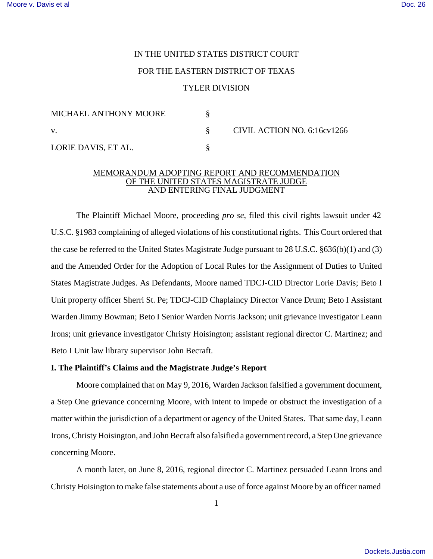# IN THE UNITED STATES DISTRICT COURT

# FOR THE EASTERN DISTRICT OF TEXAS

## TYLER DIVISION

| MICHAEL ANTHONY MOORE |  | CIVIL ACTION NO. 6:16cv1266 |
|-----------------------|--|-----------------------------|
| V.                    |  |                             |
| LORIE DAVIS, ET AL.   |  |                             |

#### MEMORANDUM ADOPTING REPORT AND RECOMMENDATION OF THE UNITED STATES MAGISTRATE JUDGE AND ENTERING FINAL JUDGMENT

The Plaintiff Michael Moore, proceeding *pro se*, filed this civil rights lawsuit under 42 U.S.C. §1983 complaining of alleged violations of his constitutional rights. This Court ordered that the case be referred to the United States Magistrate Judge pursuant to 28 U.S.C. §636(b)(1) and (3) and the Amended Order for the Adoption of Local Rules for the Assignment of Duties to United States Magistrate Judges. As Defendants, Moore named TDCJ-CID Director Lorie Davis; Beto I Unit property officer Sherri St. Pe; TDCJ-CID Chaplaincy Director Vance Drum; Beto I Assistant Warden Jimmy Bowman; Beto I Senior Warden Norris Jackson; unit grievance investigator Leann Irons; unit grievance investigator Christy Hoisington; assistant regional director C. Martinez; and Beto I Unit law library supervisor John Becraft.

#### **I. The Plaintiff's Claims and the Magistrate Judge's Report**

Moore complained that on May 9, 2016, Warden Jackson falsified a government document, a Step One grievance concerning Moore, with intent to impede or obstruct the investigation of a matter within the jurisdiction of a department or agency of the United States. That same day, Leann Irons, Christy Hoisington, and John Becraft also falsified a government record, a Step One grievance concerning Moore.

A month later, on June 8, 2016, regional director C. Martinez persuaded Leann Irons and Christy Hoisington to make false statements about a use of force against Moore by an officer named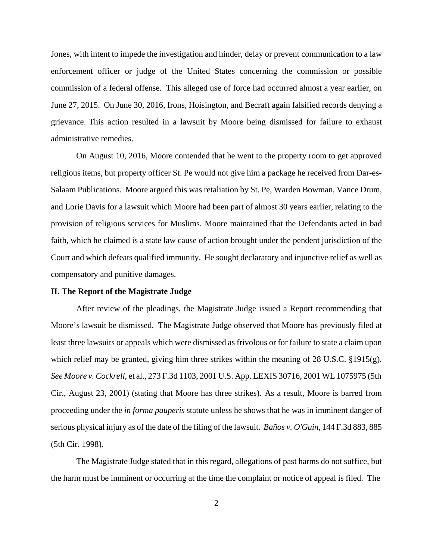Jones, with intent to impede the investigation and hinder, delay or prevent communication to a law enforcement officer or judge of the United States concerning the commission or possible commission of a federal offense. This alleged use of force had occurred almost a year earlier, on June 27, 2015. On June 30, 2016, Irons, Hoisington, and Becraft again falsified records denying a grievance. This action resulted in a lawsuit by Moore being dismissed for failure to exhaust administrative remedies.

On August 10, 2016, Moore contended that he went to the property room to get approved religious items, but property officer St. Pe would not give him a package he received from Dar-es-Salaam Publications. Moore argued this was retaliation by St. Pe, Warden Bowman, Vance Drum, and Lorie Davis for a lawsuit which Moore had been part of almost 30 years earlier, relating to the provision of religious services for Muslims. Moore maintained that the Defendants acted in bad faith, which he claimed is a state law cause of action brought under the pendent jurisdiction of the Court and which defeats qualified immunity. He sought declaratory and injunctive relief as well as compensatory and punitive damages.

#### **II. The Report of the Magistrate Judge**

After review of the pleadings, the Magistrate Judge issued a Report recommending that Moore's lawsuit be dismissed. The Magistrate Judge observed that Moore has previously filed at least three lawsuits or appeals which were dismissed as frivolous or for failure to state a claim upon which relief may be granted, giving him three strikes within the meaning of 28 U.S.C. §1915(g). *See Moore v. Cockrell*, et al., 273 F.3d 1103, 2001 U.S. App. LEXIS 30716, 2001 WL 1075975 (5th Cir., August 23, 2001) (stating that Moore has three strikes). As a result, Moore is barred from proceeding under the *in forma pauperis* statute unless he shows that he was in imminent danger of serious physical injury as of the date of the filing of the lawsuit. *Baños v. O'Guin*, 144 F.3d 883, 885 (5th Cir. 1998).

The Magistrate Judge stated that in this regard, allegations of past harms do not suffice, but the harm must be imminent or occurring at the time the complaint or notice of appeal is filed. The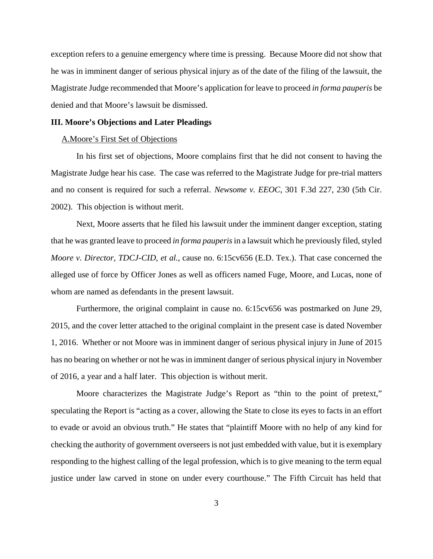exception refers to a genuine emergency where time is pressing. Because Moore did not show that he was in imminent danger of serious physical injury as of the date of the filing of the lawsuit, the Magistrate Judge recommended that Moore's application for leave to proceed *in forma pauperis* be denied and that Moore's lawsuit be dismissed.

## **III. Moore's Objections and Later Pleadings**

# A.Moore's First Set of Objections

In his first set of objections, Moore complains first that he did not consent to having the Magistrate Judge hear his case. The case was referred to the Magistrate Judge for pre-trial matters and no consent is required for such a referral. *Newsome v. EEOC*, 301 F.3d 227, 230 (5th Cir. 2002). This objection is without merit.

Next, Moore asserts that he filed his lawsuit under the imminent danger exception, stating that he was granted leave to proceed *in forma pauperis* in a lawsuit which he previously filed, styled *Moore v. Director, TDCJ-CID, et al.*, cause no. 6:15cv656 (E.D. Tex.). That case concerned the alleged use of force by Officer Jones as well as officers named Fuge, Moore, and Lucas, none of whom are named as defendants in the present lawsuit.

Furthermore, the original complaint in cause no. 6:15cv656 was postmarked on June 29, 2015, and the cover letter attached to the original complaint in the present case is dated November 1, 2016. Whether or not Moore was in imminent danger of serious physical injury in June of 2015 has no bearing on whether or not he was in imminent danger of serious physical injury in November of 2016, a year and a half later. This objection is without merit.

Moore characterizes the Magistrate Judge's Report as "thin to the point of pretext," speculating the Report is "acting as a cover, allowing the State to close its eyes to facts in an effort to evade or avoid an obvious truth." He states that "plaintiff Moore with no help of any kind for checking the authority of government overseersis not just embedded with value, but it is exemplary responding to the highest calling of the legal profession, which is to give meaning to the term equal justice under law carved in stone on under every courthouse." The Fifth Circuit has held that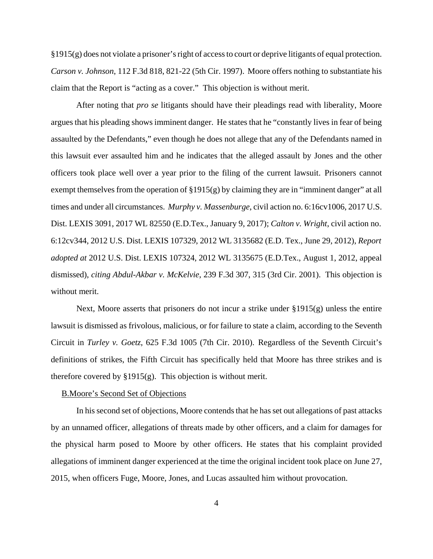§1915(g) does not violate a prisoner's right of accessto court or deprive litigants of equal protection. *Carson v. Johnson*, 112 F.3d 818, 821-22 (5th Cir. 1997). Moore offers nothing to substantiate his claim that the Report is "acting as a cover." This objection is without merit.

After noting that *pro se* litigants should have their pleadings read with liberality, Moore argues that his pleading shows imminent danger. He states that he "constantly lives in fear of being assaulted by the Defendants," even though he does not allege that any of the Defendants named in this lawsuit ever assaulted him and he indicates that the alleged assault by Jones and the other officers took place well over a year prior to the filing of the current lawsuit. Prisoners cannot exempt themselves from the operation of §1915(g) by claiming they are in "imminent danger" at all times and under all circumstances. *Murphy v. Massenburge*, civil action no. 6:16cv1006, 2017 U.S. Dist. LEXIS 3091, 2017 WL 82550 (E.D.Tex., January 9, 2017); *Calton v. Wright*, civil action no. 6:12cv344, 2012 U.S. Dist. LEXIS 107329, 2012 WL 3135682 (E.D. Tex., June 29, 2012), *Report adopted at* 2012 U.S. Dist. LEXIS 107324, 2012 WL 3135675 (E.D.Tex., August 1, 2012, appeal dismissed), *citing Abdul-Akbar v. McKelvie*, 239 F.3d 307, 315 (3rd Cir. 2001). This objection is without merit.

Next, Moore asserts that prisoners do not incur a strike under §1915(g) unless the entire lawsuit is dismissed as frivolous, malicious, or for failure to state a claim, according to the Seventh Circuit in *Turley v. Goetz*, 625 F.3d 1005 (7th Cir. 2010). Regardless of the Seventh Circuit's definitions of strikes, the Fifth Circuit has specifically held that Moore has three strikes and is therefore covered by  $\S 1915(g)$ . This objection is without merit.

## B.Moore's Second Set of Objections

In hissecond set of objections, Moore contends that he has set out allegations of past attacks by an unnamed officer, allegations of threats made by other officers, and a claim for damages for the physical harm posed to Moore by other officers. He states that his complaint provided allegations of imminent danger experienced at the time the original incident took place on June 27, 2015, when officers Fuge, Moore, Jones, and Lucas assaulted him without provocation.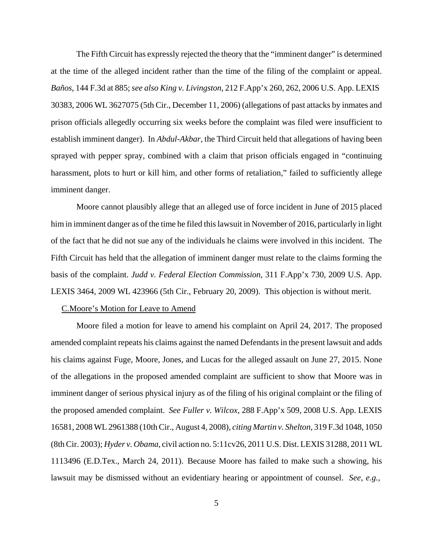The Fifth Circuit has expressly rejected the theory that the "imminent danger" is determined at the time of the alleged incident rather than the time of the filing of the complaint or appeal. *Baños*, 144 F.3d at 885; *see also King v. Livingston*, 212 F.App'x 260, 262, 2006 U.S. App. LEXIS 30383, 2006 WL 3627075 (5th Cir., December 11, 2006) (allegations of past attacks by inmates and prison officials allegedly occurring six weeks before the complaint was filed were insufficient to establish imminent danger). In *Abdul-Akbar*, the Third Circuit held that allegations of having been sprayed with pepper spray, combined with a claim that prison officials engaged in "continuing harassment, plots to hurt or kill him, and other forms of retaliation," failed to sufficiently allege imminent danger.

Moore cannot plausibly allege that an alleged use of force incident in June of 2015 placed him in imminent danger as of the time he filed thislawsuit in November of 2016, particularly in light of the fact that he did not sue any of the individuals he claims were involved in this incident. The Fifth Circuit has held that the allegation of imminent danger must relate to the claims forming the basis of the complaint. *Judd v. Federal Election Commission*, 311 F.App'x 730, 2009 U.S. App. LEXIS 3464, 2009 WL 423966 (5th Cir., February 20, 2009). This objection is without merit.

#### C.Moore's Motion for Leave to Amend

Moore filed a motion for leave to amend his complaint on April 24, 2017. The proposed amended complaint repeats his claims against the named Defendants in the present lawsuit and adds his claims against Fuge, Moore, Jones, and Lucas for the alleged assault on June 27, 2015. None of the allegations in the proposed amended complaint are sufficient to show that Moore was in imminent danger of serious physical injury as of the filing of his original complaint or the filing of the proposed amended complaint. *See Fuller v. Wilcox*, 288 F.App'x 509, 2008 U.S. App. LEXIS 16581, 2008 WL 2961388 (10th Cir., August 4, 2008), *citing Martin v. Shelton*, 319 F.3d 1048, 1050 (8th Cir. 2003); *Hyder v. Obama*, civil action no. 5:11cv26, 2011 U.S. Dist. LEXIS 31288, 2011 WL 1113496 (E.D.Tex., March 24, 2011). Because Moore has failed to make such a showing, his lawsuit may be dismissed without an evidentiary hearing or appointment of counsel. *See, e.g.,*